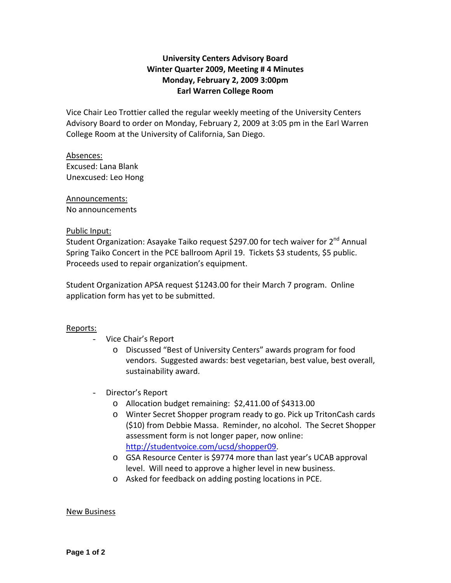# **University Centers Advisory Board Winter Quarter 2009, Meeting # 4 Minutes Monday, February 2, 2009 3:00pm Earl Warren College Room**

Vice Chair Leo Trottier called the regular weekly meeting of the University Centers Advisory Board to order on Monday, February 2, 2009 at 3:05 pm in the Earl Warren College Room at the University of California, San Diego.

Absences: Excused: Lana Blank Unexcused: Leo Hong

Announcements:

No announcements

## Public Input:

Student Organization: Asayake Taiko request \$297.00 for tech waiver for 2<sup>nd</sup> Annual Spring Taiko Concert in the PCE ballroom April 19. Tickets \$3 students, \$5 public. Proceeds used to repair organization's equipment.

Student Organization APSA request \$1243.00 for their March 7 program. Online application form has yet to be submitted.

## Reports:

- Vice Chair's Report
	- o Discussed "Best of University Centers" awards program for food vendors. Suggested awards: best vegetarian, best value, best overall, sustainability award.
- Director's Report
	- o Allocation budget remaining: \$2,411.00 of \$4313.00
	- o Winter Secret Shopper program ready to go. Pick up TritonCash cards (\$10) from Debbie Massa. Reminder, no alcohol. The Secret Shopper assessment form is not longer paper, now online: <http://studentvoice.com/ucsd/shopper09>.
	- o GSA Resource Center is \$9774 more than last year's UCAB approval level. Will need to approve a higher level in new business.
	- o Asked for feedback on adding posting locations in PCE.

## New Business